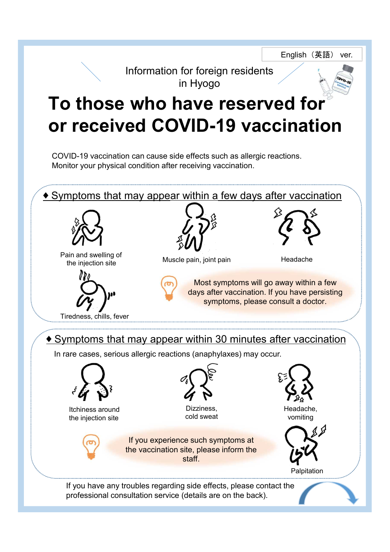